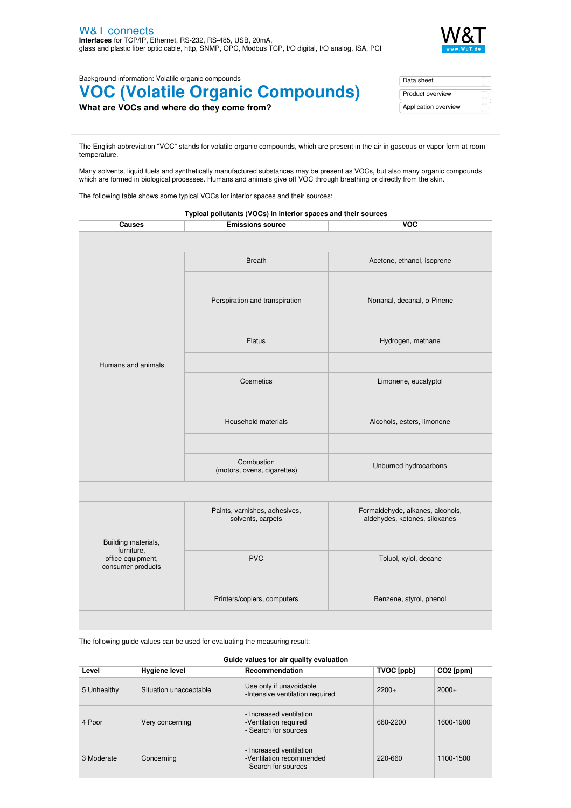

Background information: Volatile organic compounds

## **VOC (Volatile Organic Compounds)**

| What are VOCs and where do they come from? |  |  |
|--------------------------------------------|--|--|
|--------------------------------------------|--|--|

| Data sheet           |  |
|----------------------|--|
| Product overview     |  |
| Application overview |  |

The English abbreviation "VOC" stands for volatile organic compounds, which are present in the air in gaseous or vapor form at room temperature.

Many solvents, liquid fuels and synthetically manufactured substances may be present as VOCs, but also many organic compounds which are formed in biological processes. Humans and animals give off VOC through breathing or directly from the skin.

The following table shows some typical VOCs for interior spaces and their sources:

|                                                      | Typical pollutants (VOCs) in interior spaces and their sources |                                                                   |
|------------------------------------------------------|----------------------------------------------------------------|-------------------------------------------------------------------|
| <b>Causes</b>                                        | <b>Emissions source</b>                                        | <b>VOC</b>                                                        |
|                                                      |                                                                |                                                                   |
|                                                      | <b>Breath</b>                                                  | Acetone, ethanol, isoprene                                        |
|                                                      | Perspiration and transpiration                                 | Nonanal, decanal, α-Pinene                                        |
|                                                      | <b>Flatus</b>                                                  | Hydrogen, methane                                                 |
| Humans and animals                                   | Cosmetics                                                      | Limonene, eucalyptol                                              |
|                                                      | Household materials                                            | Alcohols, esters, limonene                                        |
|                                                      | Combustion<br>(motors, ovens, cigarettes)                      | Unburned hydrocarbons                                             |
|                                                      |                                                                |                                                                   |
|                                                      | Paints, varnishes, adhesives,<br>solvents, carpets             | Formaldehyde, alkanes, alcohols,<br>aldehydes, ketones, siloxanes |
| Building materials,                                  |                                                                |                                                                   |
| furniture,<br>office equipment,<br>consumer products | <b>PVC</b>                                                     | Toluol, xylol, decane                                             |
|                                                      | Printers/copiers, computers                                    | Benzene, styrol, phenol                                           |

The following guide values can be used for evaluating the measuring result:

## **Guide values for air quality evaluation**

| Level       | <b>Hygiene level</b>   | Recommendation                                                              | TVOC [ppb] | $CO2$ [ppm] |
|-------------|------------------------|-----------------------------------------------------------------------------|------------|-------------|
| 5 Unhealthy | Situation unacceptable | Use only if unavoidable<br>-Intensive ventilation required                  | $2200+$    | $2000+$     |
| 4 Poor      | Very concerning        | - Increased ventilation<br>-Ventilation required<br>- Search for sources    | 660-2200   | 1600-1900   |
| 3 Moderate  | Concerning             | - Increased ventilation<br>-Ventilation recommended<br>- Search for sources | 220-660    | 1100-1500   |